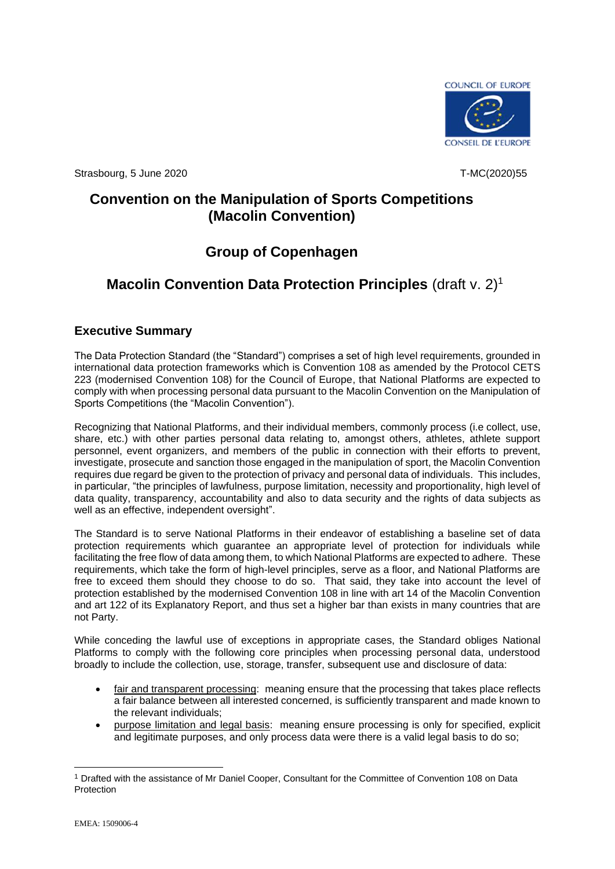

Strasbourg, 5 June 2020 **T-MC**(2020)55

# **Convention on the Manipulation of Sports Competitions (Macolin Convention)**

# **Group of Copenhagen**

# **Macolin Convention Data Protection Principles** (draft v. 2)<sup>1</sup>

# **Executive Summary**

The Data Protection Standard (the "Standard") comprises a set of high level requirements, grounded in international data protection frameworks which is Convention 108 as amended by the Protocol CETS 223 (modernised Convention 108) for the Council of Europe, that National Platforms are expected to comply with when processing personal data pursuant to the Macolin Convention on the Manipulation of Sports Competitions (the "Macolin Convention").

Recognizing that National Platforms, and their individual members, commonly process (i.e collect, use, share, etc.) with other parties personal data relating to, amongst others, athletes, athlete support personnel, event organizers, and members of the public in connection with their efforts to prevent, investigate, prosecute and sanction those engaged in the manipulation of sport, the Macolin Convention requires due regard be given to the protection of privacy and personal data of individuals. This includes, in particular, "the principles of lawfulness, purpose limitation, necessity and proportionality, high level of data quality, transparency, accountability and also to data security and the rights of data subjects as well as an effective, independent oversight".

The Standard is to serve National Platforms in their endeavor of establishing a baseline set of data protection requirements which guarantee an appropriate level of protection for individuals while facilitating the free flow of data among them, to which National Platforms are expected to adhere. These requirements, which take the form of high-level principles, serve as a floor, and National Platforms are free to exceed them should they choose to do so. That said, they take into account the level of protection established by the modernised Convention 108 in line with art 14 of the Macolin Convention and art 122 of its Explanatory Report, and thus set a higher bar than exists in many countries that are not Party.

While conceding the lawful use of exceptions in appropriate cases, the Standard obliges National Platforms to comply with the following core principles when processing personal data, understood broadly to include the collection, use, storage, transfer, subsequent use and disclosure of data:

- fair and transparent processing: meaning ensure that the processing that takes place reflects a fair balance between all interested concerned, is sufficiently transparent and made known to the relevant individuals;
- purpose limitation and legal basis: meaning ensure processing is only for specified, explicit and legitimate purposes, and only process data were there is a valid legal basis to do so;

<sup>1</sup> Drafted with the assistance of Mr Daniel Cooper, Consultant for the Committee of Convention 108 on Data Protection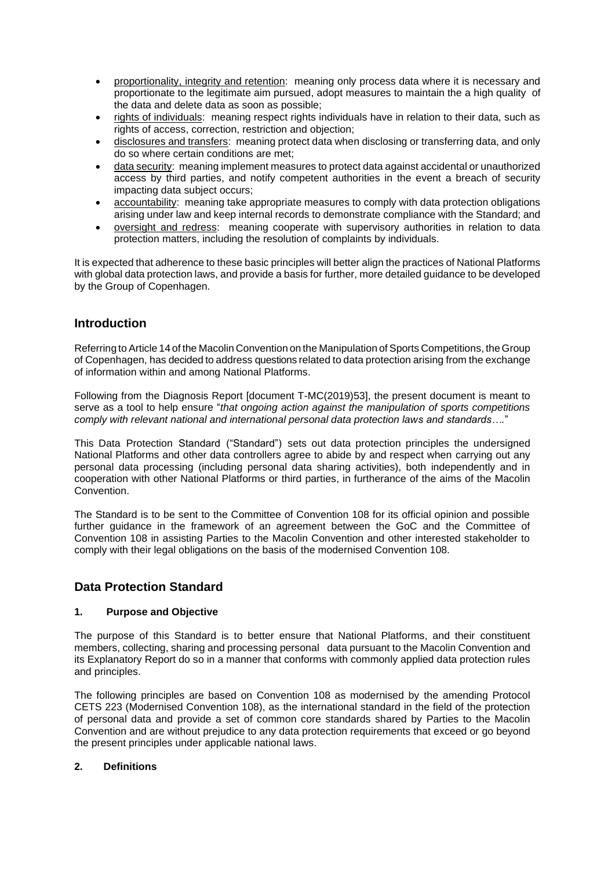- proportionality, integrity and retention: meaning only process data where it is necessary and proportionate to the legitimate aim pursued, adopt measures to maintain the a high quality of the data and delete data as soon as possible;
- rights of individuals: meaning respect rights individuals have in relation to their data, such as rights of access, correction, restriction and objection;
- disclosures and transfers: meaning protect data when disclosing or transferring data, and only do so where certain conditions are met;
- data security: meaning implement measures to protect data against accidental or unauthorized access by third parties, and notify competent authorities in the event a breach of security impacting data subject occurs;
- accountability: meaning take appropriate measures to comply with data protection obligations arising under law and keep internal records to demonstrate compliance with the Standard; and
- oversight and redress: meaning cooperate with supervisory authorities in relation to data protection matters, including the resolution of complaints by individuals.

It is expected that adherence to these basic principles will better align the practices of National Platforms with global data protection laws, and provide a basis for further, more detailed guidance to be developed by the Group of Copenhagen.

# **Introduction**

Referring to Article 14 of the Macolin Convention on the Manipulation of Sports Competitions, the Group of Copenhagen, has decided to address questions related to data protection arising from the exchange of information within and among National Platforms.

Following from the Diagnosis Report [document T-MC(2019)53], the present document is meant to serve as a tool to help ensure "*that ongoing action against the manipulation of sports competitions comply with relevant national and international personal data protection laws and standards….*"

This Data Protection Standard ("Standard") sets out data protection principles the undersigned National Platforms and other data controllers agree to abide by and respect when carrying out any personal data processing (including personal data sharing activities), both independently and in cooperation with other National Platforms or third parties, in furtherance of the aims of the Macolin Convention.

The Standard is to be sent to the Committee of Convention 108 for its official opinion and possible further guidance in the framework of an agreement between the GoC and the Committee of Convention 108 in assisting Parties to the Macolin Convention and other interested stakeholder to comply with their legal obligations on the basis of the modernised Convention 108.

# **Data Protection Standard**

# **1. Purpose and Objective**

The purpose of this Standard is to better ensure that National Platforms, and their constituent members, collecting, sharing and processing personal data pursuant to the Macolin Convention and its Explanatory Report do so in a manner that conforms with commonly applied data protection rules and principles.

The following principles are based on Convention 108 as modernised by the amending Protocol CETS 223 (Modernised Convention 108), as the international standard in the field of the protection of personal data and provide a set of common core standards shared by Parties to the Macolin Convention and are without prejudice to any data protection requirements that exceed or go beyond the present principles under applicable national laws.

# **2. Definitions**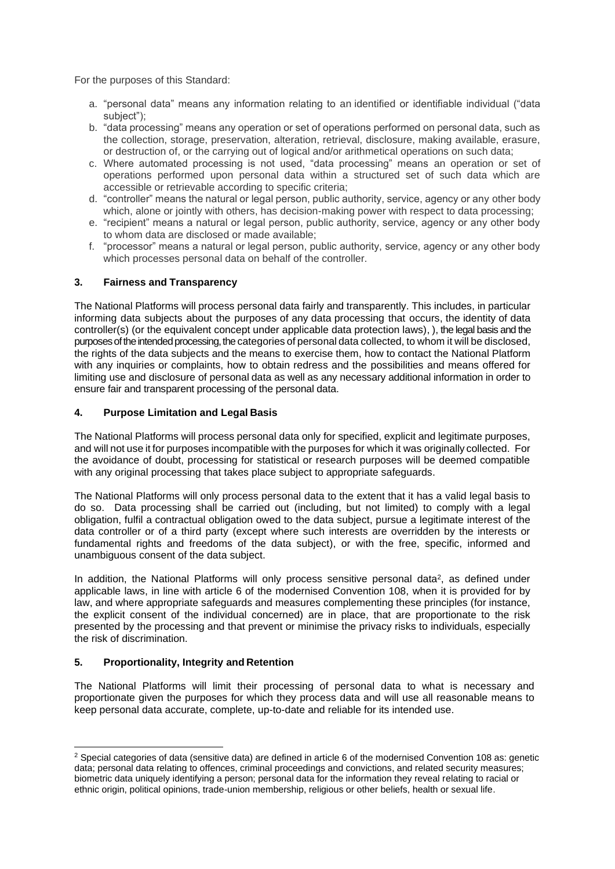For the purposes of this Standard:

- a. "personal data" means any information relating to an identified or identifiable individual ("data subject");
- b. "data processing" means any operation or set of operations performed on personal data, such as the collection, storage, preservation, alteration, retrieval, disclosure, making available, erasure, or destruction of, or the carrying out of logical and/or arithmetical operations on such data;
- c. Where automated processing is not used, "data processing" means an operation or set of operations performed upon personal data within a structured set of such data which are accessible or retrievable according to specific criteria;
- d. "controller" means the natural or legal person, public authority, service, agency or any other body which, alone or jointly with others, has decision-making power with respect to data processing;
- e. "recipient" means a natural or legal person, public authority, service, agency or any other body to whom data are disclosed or made available;
- f. "processor" means a natural or legal person, public authority, service, agency or any other body which processes personal data on behalf of the controller.

# **3. Fairness and Transparency**

The National Platforms will process personal data fairly and transparently. This includes, in particular informing data subjects about the purposes of any data processing that occurs, the identity of data controller(s) (or the equivalent concept under applicable data protection laws), ), the legal basis and the purposes of the intended processing, the categories of personal data collected, to whom it will be disclosed, the rights of the data subjects and the means to exercise them, how to contact the National Platform with any inquiries or complaints, how to obtain redress and the possibilities and means offered for limiting use and disclosure of personal data as well as any necessary additional information in order to ensure fair and transparent processing of the personal data.

#### **4. Purpose Limitation and Legal Basis**

The National Platforms will process personal data only for specified, explicit and legitimate purposes, and will not use it for purposes incompatible with the purposes for which it was originally collected. For the avoidance of doubt, processing for statistical or research purposes will be deemed compatible with any original processing that takes place subject to appropriate safeguards.

The National Platforms will only process personal data to the extent that it has a valid legal basis to do so. Data processing shall be carried out (including, but not limited) to comply with a legal obligation, fulfil a contractual obligation owed to the data subject, pursue a legitimate interest of the data controller or of a third party (except where such interests are overridden by the interests or fundamental rights and freedoms of the data subject), or with the free, specific, informed and unambiguous consent of the data subject.

In addition, the National Platforms will only process sensitive personal data<sup>2</sup>, as defined under applicable laws, in line with article 6 of the modernised Convention 108, when it is provided for by law, and where appropriate safeguards and measures complementing these principles (for instance, the explicit consent of the individual concerned) are in place, that are proportionate to the risk presented by the processing and that prevent or minimise the privacy risks to individuals, especially the risk of discrimination.

# **5. Proportionality, Integrity and Retention**

The National Platforms will limit their processing of personal data to what is necessary and proportionate given the purposes for which they process data and will use all reasonable means to keep personal data accurate, complete, up-to-date and reliable for its intended use.

<sup>2</sup> Special categories of data (sensitive data) are defined in article 6 of the modernised Convention 108 as: genetic data; personal data relating to offences, criminal proceedings and convictions, and related security measures; biometric data uniquely identifying a person; personal data for the information they reveal relating to racial or ethnic origin, political opinions, trade-union membership, religious or other beliefs, health or sexual life.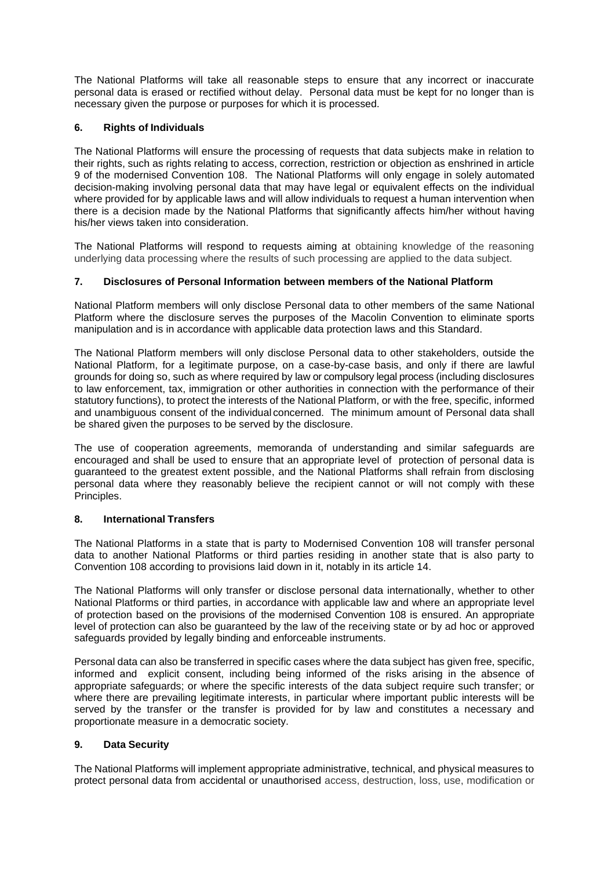The National Platforms will take all reasonable steps to ensure that any incorrect or inaccurate personal data is erased or rectified without delay. Personal data must be kept for no longer than is necessary given the purpose or purposes for which it is processed.

# **6. Rights of Individuals**

The National Platforms will ensure the processing of requests that data subjects make in relation to their rights, such as rights relating to access, correction, restriction or objection as enshrined in article 9 of the modernised Convention 108. The National Platforms will only engage in solely automated decision-making involving personal data that may have legal or equivalent effects on the individual where provided for by applicable laws and will allow individuals to request a human intervention when there is a decision made by the National Platforms that significantly affects him/her without having his/her views taken into consideration.

The National Platforms will respond to requests aiming at obtaining knowledge of the reasoning underlying data processing where the results of such processing are applied to the data subject.

# **7. Disclosures of Personal Information between members of the National Platform**

National Platform members will only disclose Personal data to other members of the same National Platform where the disclosure serves the purposes of the Macolin Convention to eliminate sports manipulation and is in accordance with applicable data protection laws and this Standard.

The National Platform members will only disclose Personal data to other stakeholders, outside the National Platform, for a legitimate purpose, on a case-by-case basis, and only if there are lawful grounds for doing so, such as where required by law or compulsory legal process (including disclosures to law enforcement, tax, immigration or other authorities in connection with the performance of their statutory functions), to protect the interests of the National Platform, or with the free, specific, informed and unambiguous consent of the individual concerned. The minimum amount of Personal data shall be shared given the purposes to be served by the disclosure.

The use of cooperation agreements, memoranda of understanding and similar safeguards are encouraged and shall be used to ensure that an appropriate level of protection of personal data is guaranteed to the greatest extent possible, and the National Platforms shall refrain from disclosing personal data where they reasonably believe the recipient cannot or will not comply with these Principles.

# **8. International Transfers**

The National Platforms in a state that is party to Modernised Convention 108 will transfer personal data to another National Platforms or third parties residing in another state that is also party to Convention 108 according to provisions laid down in it, notably in its article 14.

The National Platforms will only transfer or disclose personal data internationally, whether to other National Platforms or third parties, in accordance with applicable law and where an appropriate level of protection based on the provisions of the modernised Convention 108 is ensured. An appropriate level of protection can also be guaranteed by the law of the receiving state or by ad hoc or approved safeguards provided by legally binding and enforceable instruments.

Personal data can also be transferred in specific cases where the data subject has given free, specific, informed and explicit consent, including being informed of the risks arising in the absence of appropriate safeguards; or where the specific interests of the data subject require such transfer; or where there are prevailing legitimate interests, in particular where important public interests will be served by the transfer or the transfer is provided for by law and constitutes a necessary and proportionate measure in a democratic society.

# **9. Data Security**

The National Platforms will implement appropriate administrative, technical, and physical measures to protect personal data from accidental or unauthorised access, destruction, loss, use, modification or